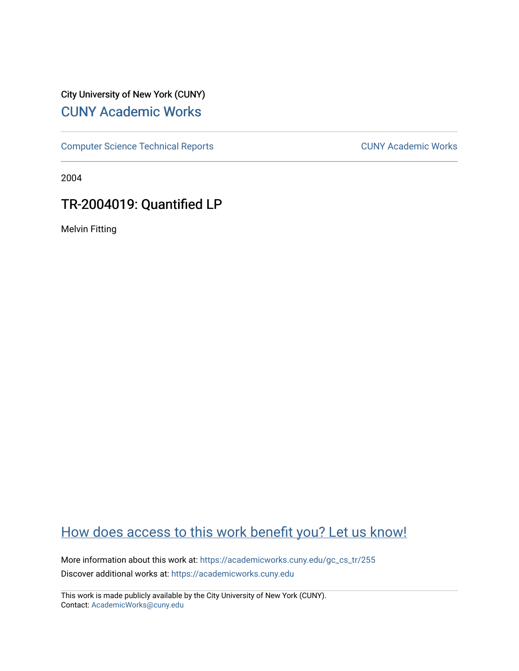## City University of New York (CUNY) [CUNY Academic Works](https://academicworks.cuny.edu/)

[Computer Science Technical Reports](https://academicworks.cuny.edu/gc_cs_tr) **CUNY Academic Works** CUNY Academic Works

2004

# TR-2004019: Quantified LP

Melvin Fitting

## [How does access to this work benefit you? Let us know!](http://ols.cuny.edu/academicworks/?ref=https://academicworks.cuny.edu/gc_cs_tr/255)

More information about this work at: [https://academicworks.cuny.edu/gc\\_cs\\_tr/255](https://academicworks.cuny.edu/gc_cs_tr/255)  Discover additional works at: [https://academicworks.cuny.edu](https://academicworks.cuny.edu/?)

This work is made publicly available by the City University of New York (CUNY). Contact: [AcademicWorks@cuny.edu](mailto:AcademicWorks@cuny.edu)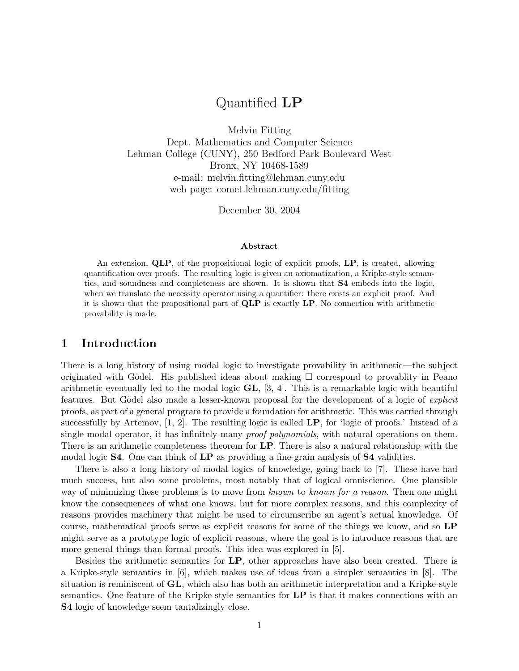## Quantified LP

Melvin Fitting Dept. Mathematics and Computer Science Lehman College (CUNY), 250 Bedford Park Boulevard West Bronx, NY 10468-1589 e-mail: melvin.fitting@lehman.cuny.edu web page: comet.lehman.cuny.edu/fitting

December 30, 2004

#### Abstract

An extension, QLP, of the propositional logic of explicit proofs, LP, is created, allowing quantification over proofs. The resulting logic is given an axiomatization, a Kripke-style semantics, and soundness and completeness are shown. It is shown that S4 embeds into the logic, when we translate the necessity operator using a quantifier: there exists an explicit proof. And it is shown that the propositional part of QLP is exactly LP. No connection with arithmetic provability is made.

#### 1 Introduction

There is a long history of using modal logic to investigate provability in arithmetic—the subject originated with Gödel. His published ideas about making  $\Box$  correspond to provability in Peano arithmetic eventually led to the modal logic GL, [3, 4]. This is a remarkable logic with beautiful features. But Gödel also made a lesser-known proposal for the development of a logic of *explicit* proofs, as part of a general program to provide a foundation for arithmetic. This was carried through successfully by Artemov,  $[1, 2]$ . The resulting logic is called  $\mathbf{LP}$ , for 'logic of proofs.' Instead of a single modal operator, it has infinitely many *proof polynomials*, with natural operations on them. There is an arithmetic completeness theorem for LP. There is also a natural relationship with the modal logic S4. One can think of LP as providing a fine-grain analysis of S4 validities.

There is also a long history of modal logics of knowledge, going back to [7]. These have had much success, but also some problems, most notably that of logical omniscience. One plausible way of minimizing these problems is to move from known to known for a reason. Then one might know the consequences of what one knows, but for more complex reasons, and this complexity of reasons provides machinery that might be used to circumscribe an agent's actual knowledge. Of course, mathematical proofs serve as explicit reasons for some of the things we know, and so LP might serve as a prototype logic of explicit reasons, where the goal is to introduce reasons that are more general things than formal proofs. This idea was explored in [5].

Besides the arithmetic semantics for LP, other approaches have also been created. There is a Kripke-style semantics in [6], which makes use of ideas from a simpler semantics in [8]. The situation is reminiscent of  $GL$ , which also has both an arithmetic interpretation and a Kripke-style semantics. One feature of the Kripke-style semantics for LP is that it makes connections with an S4 logic of knowledge seem tantalizingly close.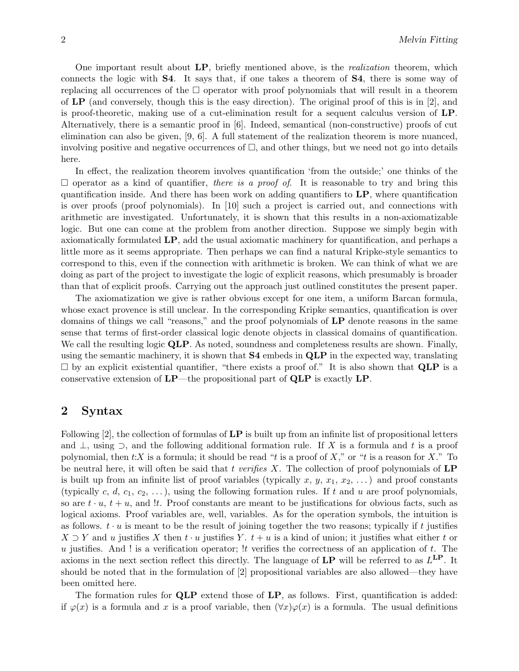One important result about LP, briefly mentioned above, is the *realization* theorem, which connects the logic with S4. It says that, if one takes a theorem of S4, there is some way of replacing all occurrences of the  $\Box$  operator with proof polynomials that will result in a theorem of  $LP$  (and conversely, though this is the easy direction). The original proof of this is in [2], and is proof-theoretic, making use of a cut-elimination result for a sequent calculus version of LP. Alternatively, there is a semantic proof in [6]. Indeed, semantical (non-constructive) proofs of cut elimination can also be given, [9, 6]. A full statement of the realization theorem is more nuanced, involving positive and negative occurrences of  $\square$ , and other things, but we need not go into details here.

In effect, the realization theorem involves quantification 'from the outside;' one thinks of the  $\square$  operator as a kind of quantifier, *there is a proof of*. It is reasonable to try and bring this quantification inside. And there has been work on adding quantifiers to  $\mathbf{LP}$ , where quantification is over proofs (proof polynomials). In [10] such a project is carried out, and connections with arithmetic are investigated. Unfortunately, it is shown that this results in a non-axiomatizable logic. But one can come at the problem from another direction. Suppose we simply begin with axiomatically formulated LP, add the usual axiomatic machinery for quantification, and perhaps a little more as it seems appropriate. Then perhaps we can find a natural Kripke-style semantics to correspond to this, even if the connection with arithmetic is broken. We can think of what we are doing as part of the project to investigate the logic of explicit reasons, which presumably is broader than that of explicit proofs. Carrying out the approach just outlined constitutes the present paper.

The axiomatization we give is rather obvious except for one item, a uniform Barcan formula, whose exact provence is still unclear. In the corresponding Kripke semantics, quantification is over domains of things we call "reasons," and the proof polynomials of  $LP$  denote reasons in the same sense that terms of first-order classical logic denote objects in classical domains of quantification. We call the resulting logic QLP. As noted, soundness and completeness results are shown. Finally, using the semantic machinery, it is shown that **S4** embeds in **QLP** in the expected way, translating  $\square$  by an explicit existential quantifier, "there exists a proof of." It is also shown that **QLP** is a conservative extension of  $\text{LP}-$ the propositional part of  $\text{QLP}$  is exactly  $\text{LP}$ .

#### 2 Syntax

Following  $[2]$ , the collection of formulas of  $\mathbf{LP}$  is built up from an infinite list of propositional letters and  $\perp$ , using  $\supset$ , and the following additional formation rule. If X is a formula and t is a proof polynomial, then t:X is a formula; it should be read "t is a proof of X," or "t is a reason for X." To be neutral here, it will often be said that t verifies X. The collection of proof polynomials of  $\mathbf{LP}$ is built up from an infinite list of proof variables (typically x, y,  $x_1, x_2, \ldots$ ) and proof constants (typically c, d,  $c_1, c_2, \ldots$ ), using the following formation rules. If t and u are proof polynomials, so are  $t \cdot u$ ,  $t + u$ , and !t. Proof constants are meant to be justifications for obvious facts, such as logical axioms. Proof variables are, well, variables. As for the operation symbols, the intuition is as follows.  $t \cdot u$  is meant to be the result of joining together the two reasons; typically if t justifies  $X \supset Y$  and u justifies X then  $t \cdot u$  justifies Y.  $t + u$  is a kind of union; it justifies what either t or u justifies. And ! is a verification operator;  $\mathfrak l$  t verifies the correctness of an application of t. The axioms in the next section reflect this directly. The language of  $\text{LP}$  will be referred to as  $L^{\text{LP}}$ . It should be noted that in the formulation of [2] propositional variables are also allowed—they have been omitted here.

The formation rules for **QLP** extend those of LP, as follows. First, quantification is added: if  $\varphi(x)$  is a formula and x is a proof variable, then  $(\forall x)\varphi(x)$  is a formula. The usual definitions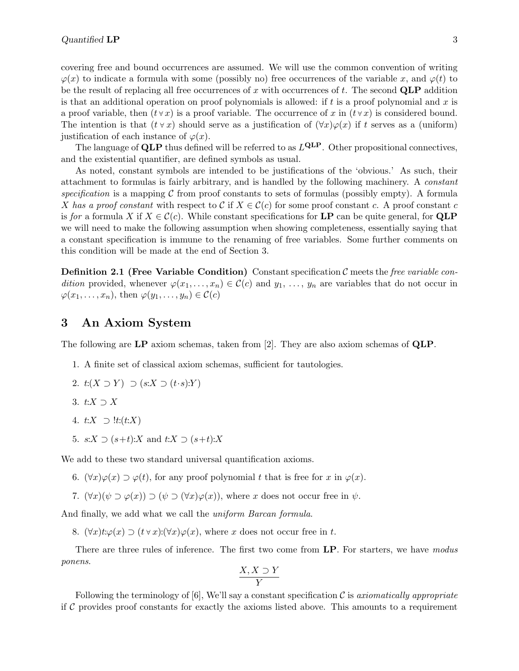covering free and bound occurrences are assumed. We will use the common convention of writing  $\varphi(x)$  to indicate a formula with some (possibly no) free occurrences of the variable x, and  $\varphi(t)$  to be the result of replacing all free occurrences of x with occurrences of t. The second  $QLP$  addition is that an additional operation on proof polynomials is allowed: if  $t$  is a proof polynomial and  $x$  is a proof variable, then  $(t \vee x)$  is a proof variable. The occurrence of x in  $(t \vee x)$  is considered bound. The intention is that  $(t \vee x)$  should serve as a justification of  $(\forall x)\varphi(x)$  if t serves as a (uniform) justification of each instance of  $\varphi(x)$ .

The language of QLP thus defined will be referred to as  $L^{\text{QLP}}$ . Other propositional connectives, and the existential quantifier, are defined symbols as usual.

As noted, constant symbols are intended to be justifications of the 'obvious.' As such, their attachment to formulas is fairly arbitrary, and is handled by the following machinery. A constant specification is a mapping  $\mathcal C$  from proof constants to sets of formulas (possibly empty). A formula X has a proof constant with respect to C if  $X \in \mathcal{C}(c)$  for some proof constant c. A proof constant c is for a formula X if  $X \in \mathcal{C}(c)$ . While constant specifications for **LP** can be quite general, for **QLP** we will need to make the following assumption when showing completeness, essentially saying that a constant specification is immune to the renaming of free variables. Some further comments on this condition will be made at the end of Section 3.

**Definition 2.1 (Free Variable Condition)** Constant specification  $\mathcal{C}$  meets the *free variable con*dition provided, whenever  $\varphi(x_1,\ldots,x_n) \in \mathcal{C}(c)$  and  $y_1,\ldots,y_n$  are variables that do not occur in  $\varphi(x_1, \ldots, x_n)$ , then  $\varphi(y_1, \ldots, y_n) \in \mathcal{C}(c)$ 

#### 3 An Axiom System

The following are LP axiom schemas, taken from [2]. They are also axiom schemas of QLP.

1. A finite set of classical axiom schemas, sufficient for tautologies.

2. 
$$
t:(X \supset Y) \supset (s:X \supset (t \cdot s):Y)
$$

- 3.  $t:X\supset X$
- 4.  $t:X \supseteq \mathit{lt}: (t:X)$
- 5.  $s:X \supset (s+t):X$  and  $t:X \supset (s+t):X$

We add to these two standard universal quantification axioms.

- 6.  $(\forall x)\varphi(x) \supset \varphi(t)$ , for any proof polynomial t that is free for x in  $\varphi(x)$ .
- 7.  $(\forall x)(\psi \supset \varphi(x)) \supset (\psi \supset (\forall x)\varphi(x))$ , where x does not occur free in  $\psi$ .

And finally, we add what we call the *uniform Barcan formula*.

8.  $(\forall x) t:\varphi(x) \supset (t \vee x):(\forall x) \varphi(x)$ , where x does not occur free in t.

There are three rules of inference. The first two come from LP. For starters, we have modus ponens.

$$
\frac{X,X\supset Y}{Y}
$$

Following the terminology of [6], We'll say a constant specification  $\mathcal C$  is axiomatically appropriate if  $\mathcal C$  provides proof constants for exactly the axioms listed above. This amounts to a requirement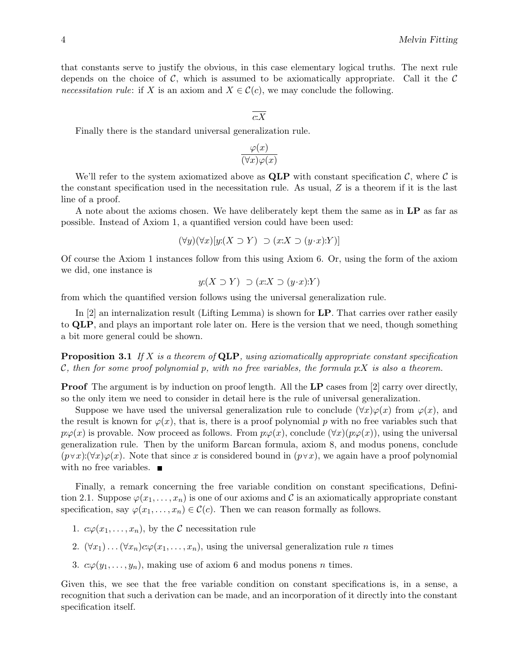that constants serve to justify the obvious, in this case elementary logical truths. The next rule depends on the choice of  $\mathcal{C}$ , which is assumed to be axiomatically appropriate. Call it the  $\mathcal{C}$ necessitation rule: if X is an axiom and  $X \in \mathcal{C}(c)$ , we may conclude the following.

#### $\overline{c:X}$

Finally there is the standard universal generalization rule.

$$
\frac{\varphi(x)}{(\forall x)\varphi(x)}
$$

We'll refer to the system axiomatized above as  $\mathbf{QLP}$  with constant specification C, where C is the constant specification used in the necessitation rule. As usual, Z is a theorem if it is the last line of a proof.

A note about the axioms chosen. We have deliberately kept them the same as in LP as far as possible. Instead of Axiom 1, a quantified version could have been used:

$$
(\forall y)(\forall x)[y:(X \supset Y) \supset (x:X \supset (y \cdot x):Y)]
$$

Of course the Axiom 1 instances follow from this using Axiom 6. Or, using the form of the axiom we did, one instance is

$$
y: (X \supset Y) \supset (x:X \supset (y \cdot x):Y)
$$

from which the quantified version follows using the universal generalization rule.

In [2] an internalization result (Lifting Lemma) is shown for LP. That carries over rather easily to QLP, and plays an important role later on. Here is the version that we need, though something a bit more general could be shown.

**Proposition 3.1** If X is a theorem of **QLP**, using axiomatically appropriate constant specification C, then for some proof polynomial p, with no free variables, the formula  $p:X$  is also a theorem.

**Proof** The argument is by induction on proof length. All the LP cases from [2] carry over directly, so the only item we need to consider in detail here is the rule of universal generalization.

Suppose we have used the universal generalization rule to conclude  $(\forall x)\varphi(x)$  from  $\varphi(x)$ , and the result is known for  $\varphi(x)$ , that is, there is a proof polynomial p with no free variables such that  $p:\varphi(x)$  is provable. Now proceed as follows. From  $p:\varphi(x)$ , conclude  $(\forall x)(p:\varphi(x))$ , using the universal generalization rule. Then by the uniform Barcan formula, axiom 8, and modus ponens, conclude  $(p \forall x)(\forall x)\varphi(x)$ . Note that since x is considered bound in  $(p \forall x)$ , we again have a proof polynomial with no free variables.  $\blacksquare$ 

Finally, a remark concerning the free variable condition on constant specifications, Definition 2.1. Suppose  $\varphi(x_1,\ldots,x_n)$  is one of our axioms and C is an axiomatically appropriate constant specification, say  $\varphi(x_1,\ldots,x_n) \in \mathcal{C}(c)$ . Then we can reason formally as follows.

- 1.  $c:\varphi(x_1,\ldots,x_n)$ , by the  $\mathcal C$  necessitation rule
- 2.  $(\forall x_1) \ldots (\forall x_n) c \varphi(x_1, \ldots, x_n)$ , using the universal generalization rule n times
- 3.  $c \varphi(y_1, \ldots, y_n)$ , making use of axiom 6 and modus ponens *n* times.

Given this, we see that the free variable condition on constant specifications is, in a sense, a recognition that such a derivation can be made, and an incorporation of it directly into the constant specification itself.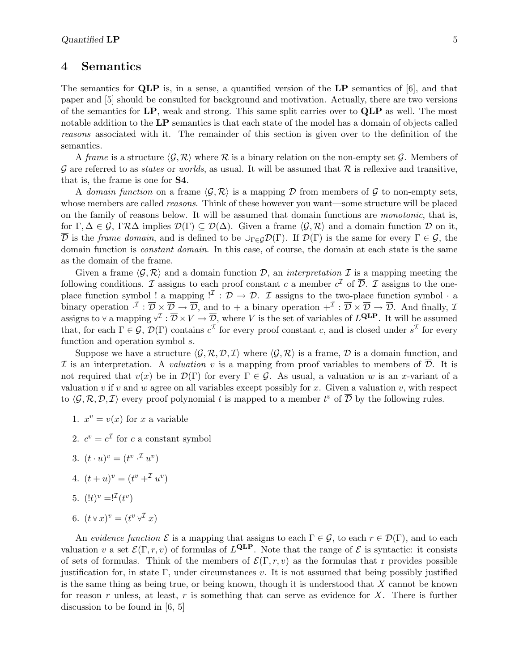#### 4 Semantics

The semantics for  $QLP$  is, in a sense, a quantified version of the  $LP$  semantics of [6], and that paper and [5] should be consulted for background and motivation. Actually, there are two versions of the semantics for LP, weak and strong. This same split carries over to QLP as well. The most notable addition to the LP semantics is that each state of the model has a domain of objects called reasons associated with it. The remainder of this section is given over to the definition of the semantics.

A frame is a structure  $\langle \mathcal{G}, \mathcal{R} \rangle$  where R is a binary relation on the non-empty set G. Members of G are referred to as *states* or *worlds*, as usual. It will be assumed that  $\mathcal{R}$  is reflexive and transitive, that is, the frame is one for S4.

A domain function on a frame  $\langle \mathcal{G}, \mathcal{R} \rangle$  is a mapping D from members of G to non-empty sets, whose members are called *reasons*. Think of these however you want—some structure will be placed on the family of reasons below. It will be assumed that domain functions are monotonic, that is, for  $\Gamma, \Delta \in \mathcal{G}$ ,  $\Gamma \mathcal{R} \Delta$  implies  $\mathcal{D}(\Gamma) \subseteq \mathcal{D}(\Delta)$ . Given a frame  $\langle \mathcal{G}, \mathcal{R} \rangle$  and a domain function  $\mathcal D$  on it,  $\overline{\mathcal{D}}$  is the *frame domain*, and is defined to be  $\cup_{\Gamma \in \mathcal{G}} \mathcal{D}(\Gamma)$ . If  $\mathcal{D}(\Gamma)$  is the same for every  $\Gamma \in \mathcal{G}$ , the domain function is constant domain. In this case, of course, the domain at each state is the same as the domain of the frame.

Given a frame  $\langle \mathcal{G}, \mathcal{R} \rangle$  and a domain function D, an interpretation I is a mapping meeting the following conditions. I assigns to each proof constant c a member  $c^{\mathcal{I}}$  of  $\overline{\mathcal{D}}$ . I assigns to the oneplace function symbol ! a mapping  $\mathcal{I}: \overline{\mathcal{D}} \to \overline{\mathcal{D}}$ . I assigns to the two-place function symbol  $\cdot$  a binary operation  $\cdot^{\mathcal{I}} : \overline{\mathcal{D}} \times \overline{\mathcal{D}} \to \overline{\mathcal{D}}$ , and to + a binary operation  $+^{\mathcal{I}} : \overline{\mathcal{D}} \times \overline{\mathcal{D}} \to \overline{\mathcal{D}}$ . And finally,  $\mathcal{I}$ assigns to  $\forall$  a mapping  $\forall^{\mathcal{I}} : \overline{\mathcal{D}} \times V \to \overline{\mathcal{D}}$ , where V is the set of variables of  $L^{\text{QLP}}$ . It will be assumed that, for each  $\Gamma \in \mathcal{G}, \mathcal{D}(\Gamma)$  contains  $c^{\mathcal{I}}$  for every proof constant c, and is closed under  $s^{\mathcal{I}}$  for every function and operation symbol s.

Suppose we have a structure  $\langle \mathcal{G}, \mathcal{R}, \mathcal{D}, \mathcal{I} \rangle$  where  $\langle \mathcal{G}, \mathcal{R} \rangle$  is a frame, D is a domain function, and I is an interpretation. A valuation v is a mapping from proof variables to members of  $\mathcal{D}$ . It is not required that  $v(x)$  be in  $\mathcal{D}(\Gamma)$  for every  $\Gamma \in \mathcal{G}$ . As usual, a valuation w is an x-variant of a valuation v if v and w agree on all variables except possibly for x. Given a valuation v, with respect to  $\langle \mathcal{G}, \mathcal{R}, \mathcal{D}, \mathcal{I} \rangle$  every proof polynomial t is mapped to a member  $t^v$  of  $\overline{\mathcal{D}}$  by the following rules.

- 1.  $x^v = v(x)$  for x a variable
- 2.  $c^v = c^{\mathcal{I}}$  for c a constant symbol
- 3.  $(t \cdot u)^v = (t^{v \cdot \mathcal{I}} u^v)$
- 4.  $(t+u)^v = (t^v + u^v)^v$
- 5.  $(!t)^{v} = !^{T}(t^{v})$
- 6.  $(t \vee x)^v = (t^v \vee^{\mathcal{I}} x)$

An evidence function  $\mathcal E$  is a mapping that assigns to each  $\Gamma \in \mathcal G$ , to each  $r \in \mathcal D(\Gamma)$ , and to each valuation v a set  $\mathcal{E}(\Gamma,r,v)$  of formulas of  $L^{\text{QLP}}$ . Note that the range of  $\mathcal E$  is syntactic: it consists of sets of formulas. Think of the members of  $\mathcal{E}(\Gamma, r, v)$  as the formulas that r provides possible justification for, in state  $\Gamma$ , under circumstances v. It is not assumed that being possibly justified is the same thing as being true, or being known, though it is understood that  $X$  cannot be known for reason r unless, at least, r is something that can serve as evidence for  $X$ . There is further discussion to be found in [6, 5]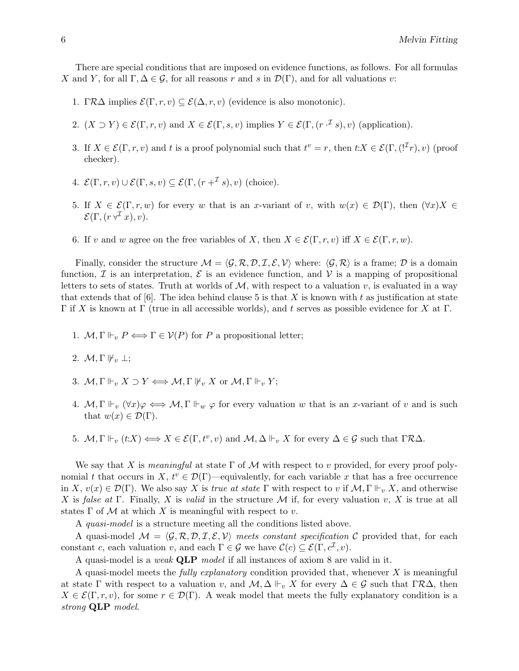There are special conditions that are imposed on evidence functions, as follows. For all formulas X and Y, for all  $\Gamma, \Delta \in \mathcal{G}$ , for all reasons r and s in  $\mathcal{D}(\Gamma)$ , and for all valuations v:

- 1. Γ $R\Delta$  implies  $\mathcal{E}(\Gamma,r,v) \subseteq \mathcal{E}(\Delta,r,v)$  (evidence is also monotonic).
- 2.  $(X \supset Y) \in \mathcal{E}(\Gamma, r, v)$  and  $X \in \mathcal{E}(\Gamma, s, v)$  implies  $Y \in \mathcal{E}(\Gamma, (r \cdot \mathcal{I} s), v)$  (application).
- 3. If  $X \in \mathcal{E}(\Gamma, r, v)$  and t is a proof polynomial such that  $t^v = r$ , then  $t: X \in \mathcal{E}(\Gamma, (\mathcal{F}_r), v)$  (proof checker).
- 4.  $\mathcal{E}(\Gamma,r,v) \cup \mathcal{E}(\Gamma,s,v) \subseteq \mathcal{E}(\Gamma,(r+\mathcal{I}_s),v)$  (choice).
- 5. If  $X \in \mathcal{E}(\Gamma, r, w)$  for every w that is an x-variant of v, with  $w(x) \in \mathcal{D}(\Gamma)$ , then  $(\forall x)X \in$  $\mathcal{E}(\Gamma, (r \forall \mathcal{I} x), v).$
- 6. If v and w agree on the free variables of X, then  $X \in \mathcal{E}(\Gamma, r, v)$  iff  $X \in \mathcal{E}(\Gamma, r, w)$ .

Finally, consider the structure  $\mathcal{M} = \langle \mathcal{G}, \mathcal{R}, \mathcal{D}, \mathcal{I}, \mathcal{E}, \mathcal{V} \rangle$  where:  $\langle \mathcal{G}, \mathcal{R} \rangle$  is a frame; D is a domain function,  $\mathcal I$  is an interpretation,  $\mathcal E$  is an evidence function, and  $\mathcal V$  is a mapping of propositional letters to sets of states. Truth at worlds of  $M$ , with respect to a valuation v, is evaluated in a way that extends that of  $[6]$ . The idea behind clause 5 is that X is known with t as justification at state Γ if X is known at Γ (true in all accessible worlds), and t serves as possible evidence for X at Γ.

- 1.  $M, \Gamma \Vdash_{v} P \Longleftrightarrow \Gamma \in \mathcal{V}(P)$  for P a propositional letter;
- 2.  $\mathcal{M}, \Gamma \nvDash_v \bot;$
- 3.  $\mathcal{M}, \Gamma \Vdash_v X \supset Y \Longleftrightarrow \mathcal{M}, \Gamma \Vdash_v X$  or  $\mathcal{M}, \Gamma \Vdash_v Y$ ;
- 4.  $M, \Gamma \Vdash_v (\forall x) \varphi \iff M, \Gamma \Vdash_w \varphi$  for every valuation w that is an x-variant of v and is such that  $w(x) \in \mathcal{D}(\Gamma)$ .
- 5.  $M, \Gamma \Vdash_v (t:X) \Longleftrightarrow X \in \mathcal{E}(\Gamma, t^v, v)$  and  $M, \Delta \Vdash_v X$  for every  $\Delta \in \mathcal{G}$  such that  $\Gamma \mathcal{R} \Delta$ .

We say that X is meaningful at state  $\Gamma$  of M with respect to v provided, for every proof polynomial t that occurs in X,  $t^v \in \mathcal{D}(\Gamma)$ —equivalently, for each variable x that has a free occurrence in X,  $v(x) \in \mathcal{D}(\Gamma)$ . We also say X is true at state  $\Gamma$  with respect to v if  $\mathcal{M}, \Gamma \Vdash_{v} X$ , and otherwise X is false at Γ. Finally, X is valid in the structure M if, for every valuation v, X is true at all states  $\Gamma$  of M at which X is meaningful with respect to v.

A quasi-model is a structure meeting all the conditions listed above.

A quasi-model  $\mathcal{M} = \langle \mathcal{G}, \mathcal{R}, \mathcal{D}, \mathcal{I}, \mathcal{E}, \mathcal{V} \rangle$  meets constant specification C provided that, for each constant c, each valuation v, and each  $\Gamma \in \mathcal{G}$  we have  $\mathcal{C}(c) \subseteq \mathcal{E}(\Gamma, c^{\mathcal{I}}, v)$ .

A quasi-model is a weak QLP model if all instances of axiom 8 are valid in it.

A quasi-model meets the *fully explanatory* condition provided that, whenever  $X$  is meaningful at state Γ with respect to a valuation v, and  $\mathcal{M}, \Delta \Vdash_v X$  for every  $\Delta \in \mathcal{G}$  such that  $\Gamma \mathcal{R} \Delta$ , then  $X \in \mathcal{E}(\Gamma, r, v)$ , for some  $r \in \mathcal{D}(\Gamma)$ . A weak model that meets the fully explanatory condition is a strong QLP model.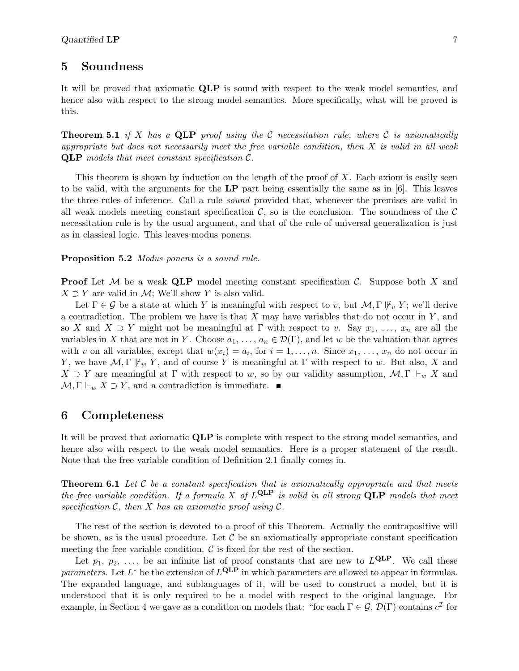#### 5 Soundness

It will be proved that axiomatic QLP is sound with respect to the weak model semantics, and hence also with respect to the strong model semantics. More specifically, what will be proved is this.

**Theorem 5.1** if X has a QLP proof using the C necessitation rule, where C is axiomatically appropriate but does not necessarily meet the free variable condition, then  $X$  is valid in all weak **QLP** models that meet constant specification  $\mathcal{C}$ .

This theorem is shown by induction on the length of the proof of  $X$ . Each axiom is easily seen to be valid, with the arguments for the LP part being essentially the same as in [6]. This leaves the three rules of inference. Call a rule sound provided that, whenever the premises are valid in all weak models meeting constant specification  $\mathcal{C}$ , so is the conclusion. The soundness of the  $\mathcal{C}$ necessitation rule is by the usual argument, and that of the rule of universal generalization is just as in classical logic. This leaves modus ponens.

Proposition 5.2 Modus ponens is a sound rule.

**Proof** Let M be a weak QLP model meeting constant specification C. Suppose both X and  $X \supset Y$  are valid in M; We'll show Y is also valid.

Let  $\Gamma \in \mathcal{G}$  be a state at which Y is meaningful with respect to v, but  $\mathcal{M}, \Gamma \Vdash_{v} Y$ ; we'll derive a contradiction. The problem we have is that  $X$  may have variables that do not occur in  $Y$ , and so X and  $X \supset Y$  might not be meaningful at  $\Gamma$  with respect to v. Say  $x_1, \ldots, x_n$  are all the variables in X that are not in Y. Choose  $a_1, \ldots, a_n \in \mathcal{D}(\Gamma)$ , and let w be the valuation that agrees with v on all variables, except that  $w(x_i) = a_i$ , for  $i = 1, ..., n$ . Since  $x_1, ..., x_n$  do not occur in Y, we have  $\mathcal{M}, \Gamma \nvDash_{w} Y$ , and of course Y is meaningful at  $\Gamma$  with respect to w. But also, X and  $X \supset Y$  are meaningful at  $\Gamma$  with respect to w, so by our validity assumption,  $\mathcal{M}, \Gamma \Vdash_w X$  and  $\mathcal{M}, \Gamma \Vdash_w X \supset Y$ , and a contradiction is immediate.

#### 6 Completeness

It will be proved that axiomatic QLP is complete with respect to the strong model semantics, and hence also with respect to the weak model semantics. Here is a proper statement of the result. Note that the free variable condition of Definition 2.1 finally comes in.

**Theorem 6.1** Let C be a constant specification that is axiomatically appropriate and that meets the free variable condition. If a formula X of  $L^{\text{QLP}}$  is valid in all strong  $\text{QLP}$  models that meet specification  $\mathcal{C}$ , then X has an axiomatic proof using  $\mathcal{C}$ .

The rest of the section is devoted to a proof of this Theorem. Actually the contrapositive will be shown, as is the usual procedure. Let  $\mathcal C$  be an axiomatically appropriate constant specification meeting the free variable condition.  $\mathcal C$  is fixed for the rest of the section.

Let  $p_1, p_2, \ldots$ , be an infinite list of proof constants that are new to  $L^{\text{QLP}}$ . We call these parameters. Let  $L^*$  be the extension of  $L^{\text{QLP}}$  in which parameters are allowed to appear in formulas. The expanded language, and sublanguages of it, will be used to construct a model, but it is understood that it is only required to be a model with respect to the original language. For example, in Section 4 we gave as a condition on models that: "for each  $\Gamma \in \mathcal{G}, \mathcal{D}(\Gamma)$  contains  $c^{\mathcal{I}}$  for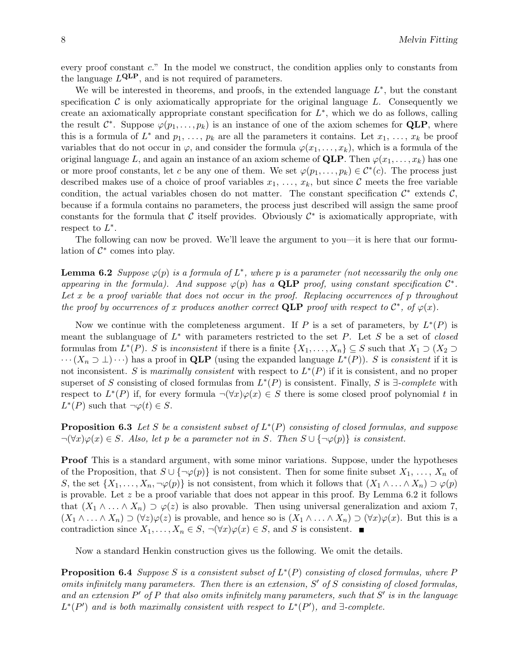every proof constant c." In the model we construct, the condition applies only to constants from the language  $L^{\text{QLP}}$ , and is not required of parameters.

We will be interested in theorems, and proofs, in the extended language  $L^*$ , but the constant specification  $\mathcal C$  is only axiomatically appropriate for the original language L. Consequently we create an axiomatically appropriate constant specification for  $L^*$ , which we do as follows, calling the result  $\mathcal{C}^*$ . Suppose  $\varphi(p_1,\ldots,p_k)$  is an instance of one of the axiom schemes for **QLP**, where this is a formula of  $L^*$  and  $p_1, \ldots, p_k$  are all the parameters it contains. Let  $x_1, \ldots, x_k$  be proof variables that do not occur in  $\varphi$ , and consider the formula  $\varphi(x_1, \ldots, x_k)$ , which is a formula of the original language L, and again an instance of an axiom scheme of **QLP**. Then  $\varphi(x_1, \ldots, x_k)$  has one or more proof constants, let c be any one of them. We set  $\varphi(p_1,\ldots,p_k) \in C^*(c)$ . The process just described makes use of a choice of proof variables  $x_1, \ldots, x_k$ , but since C meets the free variable condition, the actual variables chosen do not matter. The constant specification  $\mathcal{C}^*$  extends  $\mathcal{C}$ , because if a formula contains no parameters, the process just described will assign the same proof constants for the formula that  $\mathcal C$  itself provides. Obviously  $\mathcal C^*$  is axiomatically appropriate, with respect to  $L^*$ .

The following can now be proved. We'll leave the argument to you—it is here that our formulation of  $\mathcal{C}^*$  comes into play.

**Lemma 6.2** Suppose  $\varphi(p)$  is a formula of  $L^*$ , where p is a parameter (not necessarily the only one appearing in the formula). And suppose  $\varphi(p)$  has a QLP proof, using constant specification  $\mathcal{C}^*$ . Let x be a proof variable that does not occur in the proof. Replacing occurrences of p throughout the proof by occurrences of x produces another correct QLP proof with respect to  $\mathcal{C}^*$ , of  $\varphi(x)$ .

Now we continue with the completeness argument. If P is a set of parameters, by  $L^*(P)$  is meant the sublanguage of  $L^*$  with parameters restricted to the set P. Let S be a set of closed formulas from  $L^*(P)$ . S is inconsistent if there is a finite  $\{X_1, \ldots, X_n\} \subseteq S$  such that  $X_1 \supset (X_2 \supset$  $\cdots (X_n \supset \bot) \cdots$ ) has a proof in QLP (using the expanded language  $L^*(P)$ ). S is consistent if it is not inconsistent. S is maximally consistent with respect to  $L^*(P)$  if it is consistent, and no proper superset of S consisting of closed formulas from  $L^*(P)$  is consistent. Finally, S is  $\exists$ -complete with respect to  $L^*(P)$  if, for every formula  $\neg(\forall x)\varphi(x)\in S$  there is some closed proof polynomial t in  $L^*(P)$  such that  $\neg \varphi(t) \in S$ .

**Proposition 6.3** Let S be a consistent subset of  $L^*(P)$  consisting of closed formulas, and suppose  $\neg(\forall x)\varphi(x)\in S$ . Also, let p be a parameter not in S. Then  $S\cup\{\neg\varphi(p)\}\$ is consistent.

Proof This is a standard argument, with some minor variations. Suppose, under the hypotheses of the Proposition, that  $S \cup {\neg \varphi(p)}$  is not consistent. Then for some finite subset  $X_1, \ldots, X_n$  of S, the set  $\{X_1,\ldots,X_n,\neg\varphi(p)\}\$ is not consistent, from which it follows that  $(X_1\wedge\ldots\wedge X_n)\supset\varphi(p)$ is provable. Let  $z$  be a proof variable that does not appear in this proof. By Lemma 6.2 it follows that  $(X_1 \wedge \ldots \wedge X_n) \supset \varphi(z)$  is also provable. Then using universal generalization and axiom 7,  $(X_1 \wedge \ldots \wedge X_n) \supset (\forall z) \varphi(z)$  is provable, and hence so is  $(X_1 \wedge \ldots \wedge X_n) \supset (\forall x) \varphi(x)$ . But this is a contradiction since  $X_1, \ldots, X_n \in S$ ,  $\neg(\forall x)\varphi(x) \in S$ , and S is consistent.

Now a standard Henkin construction gives us the following. We omit the details.

**Proposition 6.4** Suppose S is a consistent subset of  $L^*(P)$  consisting of closed formulas, where P omits infinitely many parameters. Then there is an extension,  $S'$  of  $S$  consisting of closed formulas, and an extension  $P'$  of P that also omits infinitely many parameters, such that  $S'$  is in the language  $L^*(P')$  and is both maximally consistent with respect to  $L^*(P')$ , and  $\exists$ -complete.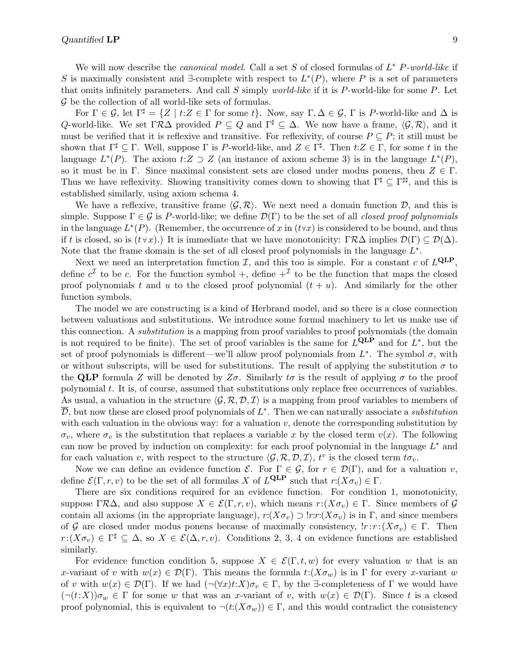For  $\Gamma \in \mathcal{G}$ , let  $\Gamma^{\sharp} = \{Z \mid t: Z \in \Gamma \text{ for some } t\}$ . Now, say  $\Gamma, \Delta \in \mathcal{G}$ ,  $\Gamma$  is P-world-like and  $\Delta$  is Q-world-like. We set  $\Gamma \mathcal{R} \Delta$  provided  $P \subseteq Q$  and  $\Gamma^{\sharp} \subseteq \Delta$ . We now have a frame,  $\langle \mathcal{G}, \mathcal{R} \rangle$ , and it must be verified that it is reflexive and transitive. For reflexivity, of course  $P \subseteq P$ ; it still must be shown that  $\Gamma^{\sharp} \subseteq \Gamma$ . Well, suppose  $\Gamma$  is P-world-like, and  $Z \in \Gamma^{\sharp}$ . Then  $t:Z \in \Gamma$ , for some t in the language  $L^*(P)$ . The axiom  $t:Z \supset Z$  (an instance of axiom scheme 3) is in the language  $L^*(P)$ , so it must be in Γ. Since maximal consistent sets are closed under modus ponens, then  $Z \in \Gamma$ . Thus we have reflexivity. Showing transitivity comes down to showing that  $\Gamma^{\sharp} \subseteq \Gamma^{\sharp\sharp}$ , and this is established similarly, using axiom schema 4.

We have a reflexive, transitive frame  $\langle \mathcal{G}, \mathcal{R} \rangle$ . We next need a domain function D, and this is simple. Suppose  $\Gamma \in \mathcal{G}$  is P-world-like; we define  $\mathcal{D}(\Gamma)$  to be the set of all closed proof polynomials in the language  $L^*(P)$ . (Remember, the occurrence of x in  $(t\forall x)$  is considered to be bound, and thus if t is closed, so is  $(t \vee x)$ .) It is immediate that we have monotonicity:  $\Gamma \mathcal{R}\Delta$  implies  $\mathcal{D}(\Gamma) \subseteq \mathcal{D}(\Delta)$ . Note that the frame domain is the set of all closed proof polynomials in the language  $L^*$ .

Next we need an interpretation function  $I$ , and this too is simple. For a constant c of  $L^{\text{QLP}}$ , define  $c^{\mathcal{I}}$  to be c. For the function symbol +, define  $+^{\mathcal{I}}$  to be the function that maps the closed proof polynomials t and u to the closed proof polynomial  $(t + u)$ . And similarly for the other function symbols.

The model we are constructing is a kind of Herbrand model, and so there is a close connection between valuations and substitutions. We introduce some formal machinery to let us make use of this connection. A substitution is a mapping from proof variables to proof polynomials (the domain is not required to be finite). The set of proof variables is the same for  $L^{\text{QLP}}$  and for  $L^*$ , but the set of proof polynomials is different—we'll allow proof polynomials from  $L^*$ . The symbol  $\sigma$ , with or without subscripts, will be used for substitutions. The result of applying the substitution  $\sigma$  to the QLP formula Z will be denoted by  $Z\sigma$ . Similarly  $t\sigma$  is the result of applying  $\sigma$  to the proof polynomial t. It is, of course, assumed that substitutions only replace free occurrences of variables. As usual, a valuation in the structure  $\langle \mathcal{G}, \mathcal{R}, \mathcal{D}, \mathcal{I} \rangle$  is a mapping from proof variables to members of  $\overline{\mathcal{D}},$  but now these are closed proof polynomials of  $L^*$ . Then we can naturally associate a substitution with each valuation in the obvious way: for a valuation  $v$ , denote the corresponding substitution by  $\sigma_v$ , where  $\sigma_v$  is the substitution that replaces a variable x by the closed term  $v(x)$ . The following can now be proved by induction on complexity: for each proof polynomial in the language  $L^*$  and for each valuation v, with respect to the structure  $\langle \mathcal{G}, \mathcal{R}, \mathcal{D}, \mathcal{I} \rangle$ ,  $t^v$  is the closed term  $t\sigma_v$ .

Now we can define an evidence function  $\mathcal{E}$ . For  $\Gamma \in \mathcal{G}$ , for  $r \in \mathcal{D}(\Gamma)$ , and for a valuation v, define  $\mathcal{E}(\Gamma, r, v)$  to be the set of all formulas X of  $L^{\text{QLP}}$  such that  $r:(X\sigma_v) \in \Gamma$ .

There are six conditions required for an evidence function. For condition 1, monotonicity, suppose  $\Gamma \mathcal{R}\Delta$ , and also suppose  $X \in \mathcal{E}(\Gamma, r, v)$ , which means  $r: (X\sigma_v) \in \Gamma$ . Since members of G contain all axioms (in the appropriate language),  $r:(X\sigma_v) \supset \text{!r}:r:(X\sigma_v)$  is in  $\Gamma$ , and since members of G are closed under modus ponens because of maximally consistency,  $!r : r : (X\sigma_v) \in \Gamma$ . Then  $r:(X\sigma_v) \in \Gamma^{\sharp} \subseteq \Delta$ , so  $X \in \mathcal{E}(\Delta, r, v)$ . Conditions 2, 3, 4 on evidence functions are established similarly.

For evidence function condition 5, suppose  $X \in \mathcal{E}(\Gamma, t, w)$  for every valuation w that is an x-variant of v with  $w(x) \in \mathcal{D}(\Gamma)$ . This means the formula  $t:(X\sigma_w)$  is in  $\Gamma$  for every x-variant w of v with  $w(x) \in \mathcal{D}(\Gamma)$ . If we had  $(\neg(\forall x)t:X)\sigma_v \in \Gamma$ , by the  $\exists$ -completeness of  $\Gamma$  we would have  $(\neg(t:X))\sigma_w \in \Gamma$  for some w that was an x-variant of v, with  $w(x) \in \mathcal{D}(\Gamma)$ . Since t is a closed proof polynomial, this is equivalent to  $\neg(t:(X\sigma_w)) \in \Gamma$ , and this would contradict the consistency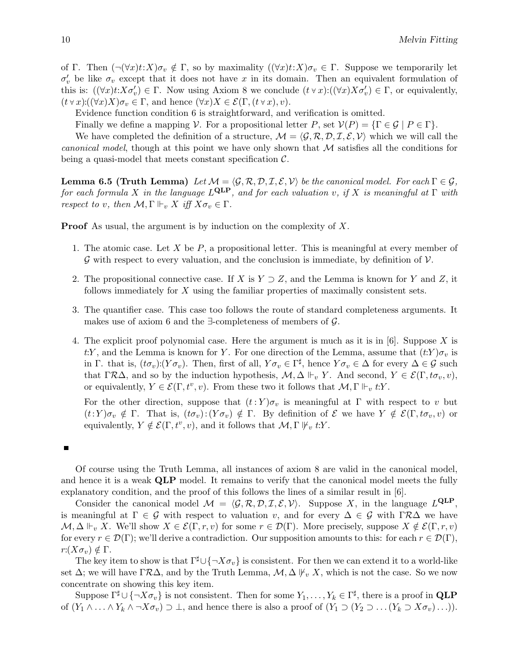of Γ. Then  $(\neg(\forall x)t:X)\sigma_v \notin \Gamma$ , so by maximality  $((\forall x)t:X)\sigma_v \in \Gamma$ . Suppose we temporarily let  $\sigma'_v$  be like  $\sigma_v$  except that it does not have x in its domain. Then an equivalent formulation of this is:  $((\forall x) t : X \sigma'_v) \in \Gamma$ . Now using Axiom 8 we conclude  $(t \lor x) : ((\forall x) X \sigma'_v) \in \Gamma$ , or equivalently,  $(t \vee x) : ((\forall x) X) \sigma_v \in \Gamma$ , and hence  $(\forall x) X \in \mathcal{E}(\Gamma, (t \vee x), v)$ .

Evidence function condition 6 is straightforward, and verification is omitted.

Finally we define a mapping V. For a propositional letter P, set  $\mathcal{V}(P) = \{ \Gamma \in \mathcal{G} \mid P \in \Gamma \}.$ 

We have completed the definition of a structure,  $\mathcal{M} = \langle \mathcal{G}, \mathcal{R}, \mathcal{D}, \mathcal{I}, \mathcal{E}, \mathcal{V} \rangle$  which we will call the *canonical model*, though at this point we have only shown that  $M$  satisfies all the conditions for being a quasi-model that meets constant specification  $\mathcal{C}$ .

**Lemma 6.5 (Truth Lemma)** Let  $\mathcal{M} = \langle \mathcal{G}, \mathcal{R}, \mathcal{D}, \mathcal{I}, \mathcal{E}, \mathcal{V} \rangle$  be the canonical model. For each  $\Gamma \in \mathcal{G}$ , for each formula X in the language  $L^{\text{QLP}}$ , and for each valuation v, if X is meaningful at  $\Gamma$  with respect to v, then  $\mathcal{M}, \Gamma \Vdash_v X$  iff  $X\sigma_v \in \Gamma$ .

**Proof** As usual, the argument is by induction on the complexity of X.

- 1. The atomic case. Let X be  $P$ , a propositional letter. This is meaningful at every member of  $\mathcal G$  with respect to every valuation, and the conclusion is immediate, by definition of  $\mathcal V$ .
- 2. The propositional connective case. If X is  $Y \supset Z$ , and the Lemma is known for Y and Z, it follows immediately for X using the familiar properties of maximally consistent sets.
- 3. The quantifier case. This case too follows the route of standard completeness arguments. It makes use of axiom 6 and the  $\exists$ -completeness of members of  $\mathcal{G}$ .
- 4. The explicit proof polynomial case. Here the argument is much as it is in  $[6]$ . Suppose X is t:Y, and the Lemma is known for Y. For one direction of the Lemma, assume that  $(t:Y)\sigma_v$  is in Γ. that is,  $(t\sigma_v):(Y\sigma_v)$ . Then, first of all,  $Y\sigma_v \in \Gamma^{\sharp}$ , hence  $Y\sigma_v \in \Delta$  for every  $\Delta \in \mathcal{G}$  such that  $\Gamma \mathcal{R} \Delta$ , and so by the induction hypothesis,  $\mathcal{M}, \Delta \Vdash_v Y$ . And second,  $Y \in \mathcal{E}(\Gamma, t\sigma_v, v)$ , or equivalently,  $Y \in \mathcal{E}(\Gamma, t^v, v)$ . From these two it follows that  $\mathcal{M}, \Gamma \Vdash_v t:Y$ .

For the other direction, suppose that  $(t : Y)\sigma_v$  is meaningful at Γ with respect to v but  $(t:Y)\sigma_v \notin \Gamma$ . That is,  $(t\sigma_v):(Y\sigma_v) \notin \Gamma$ . By definition of  $\mathcal E$  we have  $Y \notin \mathcal E(\Gamma, t\sigma_v, v)$  or equivalently,  $Y \notin \mathcal{E}(\Gamma, t^v, v)$ , and it follows that  $\mathcal{M}, \Gamma \nvDash_v t:Y$ .

#### $\blacksquare$

Of course using the Truth Lemma, all instances of axiom 8 are valid in the canonical model, and hence it is a weak **QLP** model. It remains to verify that the canonical model meets the fully explanatory condition, and the proof of this follows the lines of a similar result in [6].

Consider the canonical model  $\mathcal{M} = \langle \mathcal{G}, \mathcal{R}, \mathcal{D}, \mathcal{I}, \mathcal{E}, \mathcal{V} \rangle$ . Suppose X, in the language  $L^{\text{QLP}}$ , is meaningful at  $\Gamma \in \mathcal{G}$  with respect to valuation v, and for every  $\Delta \in \mathcal{G}$  with  $\Gamma \mathcal{R} \Delta$  we have  $\mathcal{M}, \Delta \Vdash_v X$ . We'll show  $X \in \mathcal{E}(\Gamma, r, v)$  for some  $r \in \mathcal{D}(\Gamma)$ . More precisely, suppose  $X \notin \mathcal{E}(\Gamma, r, v)$ for every  $r \in \mathcal{D}(\Gamma)$ ; we'll derive a contradiction. Our supposition amounts to this: for each  $r \in \mathcal{D}(\Gamma)$ ,  $r:(X\sigma_v)\notin \Gamma$ .

The key item to show is that  $\Gamma^{\sharp} \cup \{\neg X \sigma_v\}$  is consistent. For then we can extend it to a world-like set  $\Delta$ ; we will have  $\Gamma \mathcal{R} \Delta$ , and by the Truth Lemma,  $\mathcal{M}, \Delta \not\vdash_v X$ , which is not the case. So we now concentrate on showing this key item.

Suppose  $\Gamma^{\sharp} \cup \{\neg X \sigma_v\}$  is not consistent. Then for some  $Y_1, \ldots, Y_k \in \Gamma^{\sharp}$ , there is a proof in **QLP** of  $(Y_1 \wedge \ldots \wedge Y_k \wedge \neg X \sigma_v) \supset \bot$ , and hence there is also a proof of  $(Y_1 \supset (Y_2 \supset \ldots (Y_k \supset X \sigma_v) \ldots)).$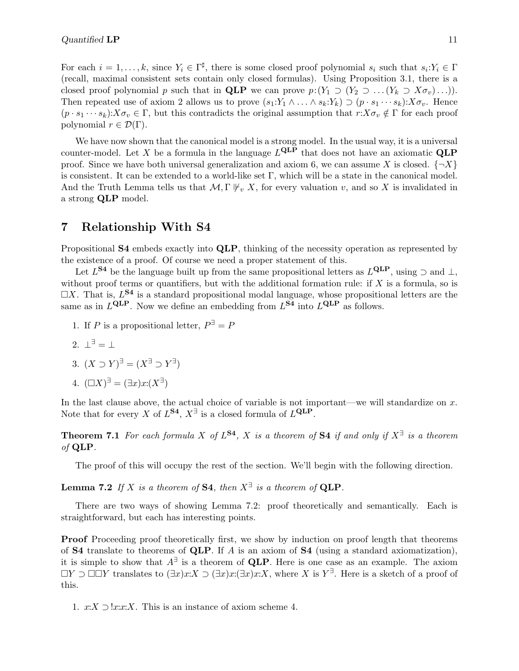For each  $i = 1, \ldots, k$ , since  $Y_i \in \Gamma^{\sharp}$ , there is some closed proof polynomial  $s_i$  such that  $s_i: Y_i \in \Gamma$ (recall, maximal consistent sets contain only closed formulas). Using Proposition 3.1, there is a closed proof polynomial p such that in **QLP** we can prove  $p:(Y_1 \supset (Y_2 \supset ... (Y_k \supset X\sigma_v)...)).$ Then repeated use of axiom 2 allows us to prove  $(s_1:Y_1 \wedge \ldots \wedge s_k:Y_k) \supset (p \cdot s_1 \cdots s_k): X \sigma_v$ . Hence  $(p \cdot s_1 \cdots s_k): X \sigma_v \in \Gamma$ , but this contradicts the original assumption that  $r:X \sigma_v \notin \Gamma$  for each proof polynomial  $r \in \mathcal{D}(\Gamma)$ .

We have now shown that the canonical model is a strong model. In the usual way, it is a universal counter-model. Let X be a formula in the language  $L^{\text{QLP}}$  that does not have an axiomatic  $\text{QLP}$ proof. Since we have both universal generalization and axiom 6, we can assume X is closed.  $\{\neg X\}$ is consistent. It can be extended to a world-like set Γ, which will be a state in the canonical model. And the Truth Lemma tells us that  $\mathcal{M}, \Gamma \not\vdash_{v} X$ , for every valuation v, and so X is invalidated in a strong QLP model.

### 7 Relationship With S4

Propositional S4 embeds exactly into QLP, thinking of the necessity operation as represented by the existence of a proof. Of course we need a proper statement of this.

Let  $L^{S4}$  be the language built up from the same propositional letters as  $L^{QLP}$ , using  $\supset$  and  $\perp$ , without proof terms or quantifiers, but with the additional formation rule: if  $X$  is a formula, so is  $\Box X$ . That is,  $L^{S4}$  is a standard propositional modal language, whose propositional letters are the same as in  $L^{\text{QLP}}$ . Now we define an embedding from  $L^{\text{S4}}$  into  $L^{\text{QLP}}$  as follows.

- 1. If P is a propositional letter,  $P^{\exists} = P$
- 2.  $\perp^{\exists} = \perp$
- 3.  $(X \supset Y)^{\exists} = (X^{\exists} \supset Y^{\exists})$
- 4.  $(\Box X)^{\exists} = (\exists x) x: (X^{\exists})$

In the last clause above, the actual choice of variable is not important—we will standardize on  $x$ . Note that for every X of  $L^{S4}$ ,  $X^{\exists}$  is a closed formula of  $L^{QLP}$ .

**Theorem 7.1** For each formula X of  $L^{S4}$ , X is a theorem of S4 if and only if  $X^{\exists}$  is a theorem of QLP.

The proof of this will occupy the rest of the section. We'll begin with the following direction.

**Lemma 7.2** If X is a theorem of S4, then  $X^{\exists}$  is a theorem of QLP.

There are two ways of showing Lemma 7.2: proof theoretically and semantically. Each is straightforward, but each has interesting points.

**Proof** Proceeding proof theoretically first, we show by induction on proof length that theorems of **S4** translate to theorems of **QLP**. If A is an axiom of **S4** (using a standard axiomatization), it is simple to show that  $A^{\exists}$  is a theorem of QLP. Here is one case as an example. The axiom  $\Box Y \supset \Box \Box Y$  translates to  $(\exists x)x:X \supset (\exists x)x:X$ , where X is  $Y^{\exists}$ . Here is a sketch of a proof of this.

1.  $x:X \supset !x:x:X$ . This is an instance of axiom scheme 4.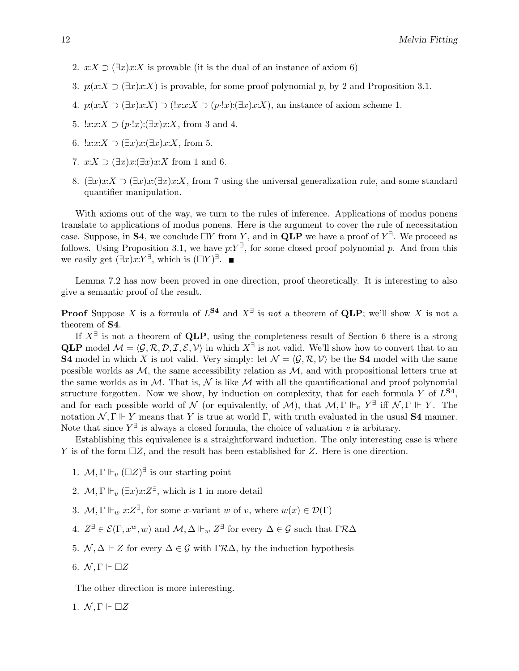- 2.  $x:X \supset (\exists x) x:X$  is provable (it is the dual of an instance of axiom 6)
- 3.  $p(x:X \supset (\exists x)x:X)$  is provable, for some proof polynomial p, by 2 and Proposition 3.1.
- 4.  $p(x:X \supset (\exists x)x:X) \supset (!x:x:X \supset (p\cdot !x):(!\exists x)x:X)$ , an instance of axiom scheme 1.
- 5.  $!x:x:X \supset (p\cdot !x):(x:x):X$ , from 3 and 4.
- 6.  $!x:x:X \supset (\exists x)x:(\exists x)x:X$ , from 5.
- 7.  $x:X \supset (\exists x)x(\exists x)x:X$  from 1 and 6.
- 8.  $(\exists x) x:X \supset (\exists x)x:\exists x)x:X$ , from 7 using the universal generalization rule, and some standard quantifier manipulation.

With axioms out of the way, we turn to the rules of inference. Applications of modus ponens translate to applications of modus ponens. Here is the argument to cover the rule of necessitation case. Suppose, in **S4**, we conclude  $\Box Y$  from Y, and in **QLP** we have a proof of  $Y^{\exists}$ . We proceed as follows. Using Proposition 3.1, we have  $p: Y^{\exists}$ , for some closed proof polynomial p. And from this we easily get  $(\exists x) x: Y^{\exists}$ , which is  $(\Box Y)^{\exists}$ .

Lemma 7.2 has now been proved in one direction, proof theoretically. It is interesting to also give a semantic proof of the result.

**Proof** Suppose X is a formula of  $L^{S4}$  and  $X^{\exists}$  is not a theorem of QLP; we'll show X is not a theorem of S4.

If  $X^{\exists}$  is not a theorem of QLP, using the completeness result of Section 6 there is a strong **QLP** model  $\mathcal{M} = \langle \mathcal{G}, \mathcal{R}, \mathcal{D}, \mathcal{I}, \mathcal{E}, \mathcal{V} \rangle$  in which  $X^{\exists}$  is not valid. We'll show how to convert that to an **S4** model in which X is not valid. Very simply: let  $\mathcal{N} = \langle \mathcal{G}, \mathcal{R}, \mathcal{V} \rangle$  be the **S4** model with the same possible worlds as  $\mathcal{M}$ , the same accessibility relation as  $\mathcal{M}$ , and with propositional letters true at the same worlds as in  $M$ . That is,  $\mathcal N$  is like  $\mathcal M$  with all the quantificational and proof polynomial structure forgotten. Now we show, by induction on complexity, that for each formula Y of  $L^{S4}$ , and for each possible world of  $\mathcal N$  (or equivalently, of  $\mathcal M$ ), that  $\mathcal M$ ,  $\Gamma \Vdash_{v} Y^{\exists}$  iff  $\mathcal N$ ,  $\Gamma \Vdash Y$ . The notation  $\mathcal{N}, \Gamma \Vdash Y$  means that Y is true at world  $\Gamma$ , with truth evaluated in the usual **S4** manner. Note that since  $Y^{\exists}$  is always a closed formula, the choice of valuation v is arbitrary.

Establishing this equivalence is a straightforward induction. The only interesting case is where Y is of the form  $\Box Z$ , and the result has been established for Z. Here is one direction.

- 1.  $M, \Gamma \Vdash_v (\Box Z)^{\exists}$  is our starting point
- 2.  $\mathcal{M}, \Gamma \Vdash_v (\exists x) x : Z^{\exists}$ , which is 1 in more detail
- 3.  $\mathcal{M}, \Gamma \Vdash_w x:\mathbb{Z}^{\exists}$ , for some x-variant w of v, where  $w(x) \in \mathcal{D}(\Gamma)$
- 4.  $Z^{\exists} \in \mathcal{E}(\Gamma, x^w, w)$  and  $\mathcal{M}, \Delta \Vdash_w Z^{\exists}$  for every  $\Delta \in \mathcal{G}$  such that  $\Gamma \mathcal{R} \Delta$
- 5.  $\mathcal{N}, \Delta \Vdash Z$  for every  $\Delta \in \mathcal{G}$  with  $\Gamma \mathcal{R} \Delta$ , by the induction hypothesis
- 6.  $\mathcal{N}, \Gamma \Vdash \Box Z$

The other direction is more interesting.

1.  $\mathcal{N}, \Gamma \Vdash \Box Z$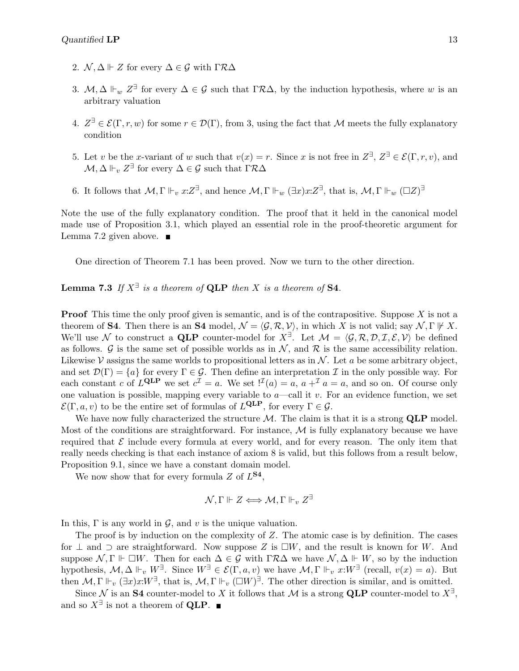- 2.  $\mathcal{N}, \Delta \Vdash Z$  for every  $\Delta \in \mathcal{G}$  with  $\Gamma \mathcal{R} \Delta$
- 3.  $M, \Delta \Vdash_w Z^{\exists}$  for every  $\Delta \in \mathcal{G}$  such that  $\Gamma \mathcal{R} \Delta$ , by the induction hypothesis, where w is an arbitrary valuation
- 4.  $Z^{\exists} \in \mathcal{E}(\Gamma,r,w)$  for some  $r \in \mathcal{D}(\Gamma)$ , from 3, using the fact that M meets the fully explanatory condition
- 5. Let v be the x-variant of w such that  $v(x) = r$ . Since x is not free in  $Z^{\exists}$ ,  $Z^{\exists} \in \mathcal{E}(\Gamma, r, v)$ , and  $\mathcal{M}, \Delta \Vdash_v Z^{\exists}$  for every  $\Delta \in \mathcal{G}$  such that  $\Gamma \mathcal{R} \Delta$
- 6. It follows that  $M, \Gamma \Vdash_v x:Z^{\exists}$ , and hence  $M, \Gamma \Vdash_w (\exists x) x:Z^{\exists}$ , that is,  $M, \Gamma \Vdash_w (\Box Z)^{\exists}$

Note the use of the fully explanatory condition. The proof that it held in the canonical model made use of Proposition 3.1, which played an essential role in the proof-theoretic argument for Lemma 7.2 given above.  $\blacksquare$ 

One direction of Theorem 7.1 has been proved. Now we turn to the other direction.

**Lemma 7.3** If  $X^{\exists}$  is a theorem of **QLP** then X is a theorem of **S4**.

**Proof** This time the only proof given is semantic, and is of the contrapositive. Suppose  $X$  is not a theorem of **S4**. Then there is an **S4** model,  $\mathcal{N} = \langle \mathcal{G}, \mathcal{R}, \mathcal{V} \rangle$ , in which X is not valid; say  $\mathcal{N}, \Gamma \not\vdash X$ . We'll use N to construct a QLP counter-model for  $X^{\exists}$ . Let  $\mathcal{M} = \langle \mathcal{G}, \mathcal{R}, \mathcal{D}, \mathcal{I}, \mathcal{E}, \mathcal{V} \rangle$  be defined as follows. G is the same set of possible worlds as in  $\mathcal{N}$ , and  $\mathcal{R}$  is the same accessibility relation. Likewise  $\mathcal V$  assigns the same worlds to propositional letters as in  $\mathcal N$ . Let a be some arbitrary object, and set  $\mathcal{D}(\Gamma) = \{a\}$  for every  $\Gamma \in \mathcal{G}$ . Then define an interpretation  $\mathcal{I}$  in the only possible way. For each constant c of  $L^{\text{QLP}}$  we set  $c^{\mathcal{I}} = a$ . We set  $\mathcal{I}^{I}(a) = a$ ,  $a +^{\mathcal{I}} a = a$ , and so on. Of course only one valuation is possible, mapping every variable to  $a$ —call it v. For an evidence function, we set  $\mathcal{E}(\Gamma, a, v)$  to be the entire set of formulas of  $L^{\text{QLP}}$ , for every  $\Gamma \in \mathcal{G}$ .

We have now fully characterized the structure  $M$ . The claim is that it is a strong  $QLP$  model. Most of the conditions are straightforward. For instance,  $\mathcal M$  is fully explanatory because we have required that  $\mathcal E$  include every formula at every world, and for every reason. The only item that really needs checking is that each instance of axiom 8 is valid, but this follows from a result below, Proposition 9.1, since we have a constant domain model.

We now show that for every formula  $Z$  of  $L^{S4}$ ,

$$
\mathcal{N}, \Gamma \Vdash Z \Longleftrightarrow \mathcal{M}, \Gamma \Vdash_v Z^{\exists}
$$

In this,  $\Gamma$  is any world in  $\mathcal{G}$ , and v is the unique valuation.

The proof is by induction on the complexity of Z. The atomic case is by definition. The cases for  $\perp$  and  $\supset$  are straightforward. Now suppose Z is  $\square W$ , and the result is known for W. And suppose  $\mathcal{N}, \Gamma \Vdash \Box W$ . Then for each  $\Delta \in \mathcal{G}$  with  $\Gamma \mathcal{R} \Delta$  we have  $\mathcal{N}, \Delta \Vdash W$ , so by the induction hypothesis,  $M, \Delta \Vdash_v W^{\exists}$ . Since  $W^{\exists} \in \mathcal{E}(\Gamma, a, v)$  we have  $M, \Gamma \Vdash_v x: W^{\exists}$  (recall,  $v(x) = a$ ). But then  $M, \Gamma \Vdash_v (\exists x) x : W^{\exists}$ , that is,  $M, \Gamma \Vdash_v (\Box W)^{\exists}$ . The other direction is similar, and is omitted.

Since N is an S4 counter-model to X it follows that M is a strong QLP counter-model to  $X^{\exists}$ , and so  $X^{\exists}$  is not a theorem of **QLP**.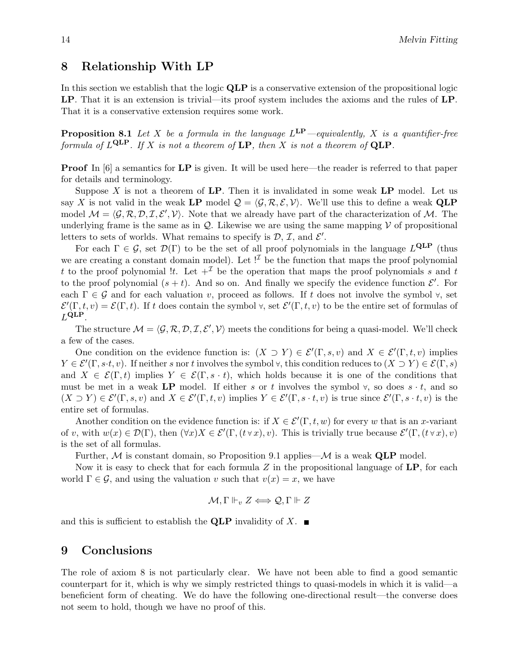### 8 Relationship With LP

In this section we establish that the logic QLP is a conservative extension of the propositional logic LP. That it is an extension is trivial—its proof system includes the axioms and the rules of LP. That it is a conservative extension requires some work.

**Proposition 8.1** Let X be a formula in the language  $L^{\text{LP}}$  -equivalently, X is a quantifier-free formula of  $L^{\textbf{QLP}}$ . If X is not a theorem of  $\textbf{LP}$ , then X is not a theorem of  $\textbf{QLP}$ .

**Proof** In [6] a semantics for **LP** is given. It will be used here—the reader is referred to that paper for details and terminology.

Suppose  $X$  is not a theorem of LP. Then it is invalidated in some weak LP model. Let us say X is not valid in the weak LP model  $\mathcal{Q} = \langle \mathcal{G}, \mathcal{R}, \mathcal{E}, \mathcal{V} \rangle$ . We'll use this to define a weak QLP model  $M = \langle \mathcal{G}, \mathcal{R}, \mathcal{D}, \mathcal{I}, \mathcal{E}', \mathcal{V} \rangle$ . Note that we already have part of the characterization of M. The underlying frame is the same as in  $\mathcal{Q}$ . Likewise we are using the same mapping  $\mathcal V$  of propositional letters to sets of worlds. What remains to specify is  $D, \mathcal{I}$ , and  $\mathcal{E}'$ .

For each  $\Gamma \in \mathcal{G}$ , set  $\mathcal{D}(\Gamma)$  to be the set of all proof polynomials in the language  $L^{\text{QLP}}$  (thus we are creating a constant domain model). Let  $!^{\mathcal{I}}$  be the function that maps the proof polynomial t to the proof polynomial !t. Let  $+^{\mathcal{I}}$  be the operation that maps the proof polynomials s and t to the proof polynomial  $(s + t)$ . And so on. And finally we specify the evidence function  $\mathcal{E}'$ . For each  $\Gamma \in \mathcal{G}$  and for each valuation v, proceed as follows. If t does not involve the symbol  $\forall$ , set  $\mathcal{E}'(\Gamma,t,v) = \mathcal{E}(\Gamma,t)$ . If t does contain the symbol  $\forall$ , set  $\mathcal{E}'(\Gamma,t,v)$  to be the entire set of formulas of  $L^{\text{QLP}}$ .

The structure  $M = \langle \mathcal{G}, \mathcal{R}, \mathcal{D}, \mathcal{I}, \mathcal{E}', \mathcal{V} \rangle$  meets the conditions for being a quasi-model. We'll check a few of the cases.

One condition on the evidence function is:  $(X \supset Y) \in \mathcal{E}'(\Gamma, s, v)$  and  $X \in \mathcal{E}'(\Gamma, t, v)$  implies  $Y \in \mathcal{E}'(\Gamma, s \cdot t, v)$ . If neither s nor t involves the symbol  $\forall$ , this condition reduces to  $(X \supset Y) \in \mathcal{E}(\Gamma, s)$ and  $X \in \mathcal{E}(\Gamma, t)$  implies  $Y \in \mathcal{E}(\Gamma, s \cdot t)$ , which holds because it is one of the conditions that must be met in a weak LP model. If either s or t involves the symbol  $\forall$ , so does  $s \cdot t$ , and so  $(X \supset Y) \in \mathcal{E}'(\Gamma, s, v)$  and  $X \in \mathcal{E}'(\Gamma, t, v)$  implies  $Y \in \mathcal{E}'(\Gamma, s \cdot t, v)$  is true since  $\mathcal{E}'(\Gamma, s \cdot t, v)$  is the entire set of formulas.

Another condition on the evidence function is: if  $X \in \mathcal{E}'(\Gamma, t, w)$  for every w that is an x-variant of v, with  $w(x) \in \mathcal{D}(\Gamma)$ , then  $(\forall x)X \in \mathcal{E}'(\Gamma,(t \forall x),v)$ . This is trivially true because  $\mathcal{E}'(\Gamma,(t \forall x),v)$ is the set of all formulas.

Further,  $M$  is constant domain, so Proposition 9.1 applies— $M$  is a weak QLP model.

Now it is easy to check that for each formula  $Z$  in the propositional language of  $\mathbf{LP}$ , for each world  $\Gamma \in \mathcal{G}$ , and using the valuation v such that  $v(x) = x$ , we have

$$
\mathcal{M}, \Gamma \Vdash_v Z \Longleftrightarrow \mathcal{Q}, \Gamma \Vdash Z
$$

and this is sufficient to establish the QLP invalidity of X.  $\blacksquare$ 

#### 9 Conclusions

The role of axiom 8 is not particularly clear. We have not been able to find a good semantic counterpart for it, which is why we simply restricted things to quasi-models in which it is valid—a beneficient form of cheating. We do have the following one-directional result—the converse does not seem to hold, though we have no proof of this.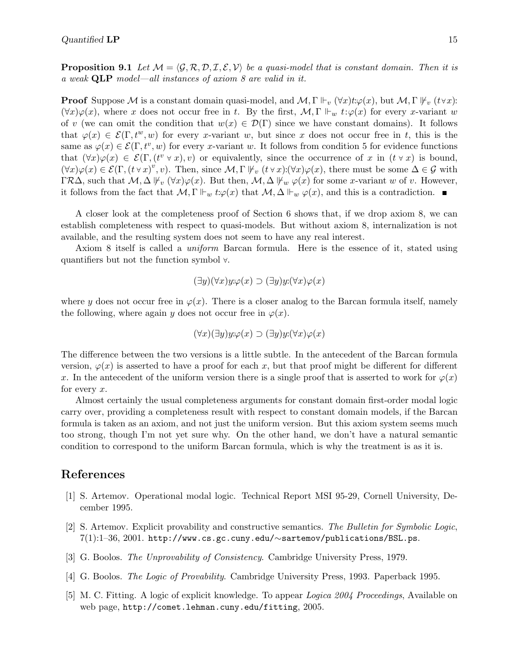**Proposition 9.1** Let  $M = \langle \mathcal{G}, \mathcal{R}, \mathcal{D}, \mathcal{I}, \mathcal{E}, \mathcal{V} \rangle$  be a quasi-model that is constant domain. Then it is a weak QLP model—all instances of axiom 8 are valid in it.

**Proof** Suppose M is a constant domain quasi-model, and  $M, \Gamma \Vdash_{v} (\forall x)t:\varphi(x)$ , but  $M, \Gamma \Vdash_{v} (t \forall x)$ :  $(\forall x)\varphi(x)$ , where x does not occur free in t. By the first,  $\mathcal{M}, \Gamma \Vdash_w t:\varphi(x)$  for every x-variant w of v (we can omit the condition that  $w(x) \in \mathcal{D}(\Gamma)$  since we have constant domains). It follows that  $\varphi(x) \in \mathcal{E}(\Gamma, t^w, w)$  for every x-variant w, but since x does not occur free in t, this is the same as  $\varphi(x) \in \mathcal{E}(\Gamma, t^v, w)$  for every x-variant w. It follows from condition 5 for evidence functions that  $(\forall x)\varphi(x) \in \mathcal{E}(\Gamma,(t^v \lor x),v)$  or equivalently, since the occurrence of x in  $(t \lor x)$  is bound,  $(\forall x)\varphi(x)\in \mathcal{E}(\Gamma,(t\forall x)^v,v)$ . Then, since  $\mathcal{M},\Gamma \nvDash_v (t\forall x)(\forall x)\varphi(x)$ , there must be some  $\Delta \in \mathcal{G}$  with  $\Gamma \mathcal{R}\Delta$ , such that  $\mathcal{M}, \Delta \nvDash_{v} (\forall x)\varphi(x)$ . But then,  $\mathcal{M}, \Delta \nvDash_{w} \varphi(x)$  for some x-variant w of v. However, it follows from the fact that  $M, \Gamma \Vdash_w t:\varphi(x)$  that  $M, \Delta \Vdash_w \varphi(x)$ , and this is a contradiction.

A closer look at the completeness proof of Section 6 shows that, if we drop axiom 8, we can establish completeness with respect to quasi-models. But without axiom 8, internalization is not available, and the resulting system does not seem to have any real interest.

Axiom 8 itself is called a uniform Barcan formula. Here is the essence of it, stated using quantifiers but not the function symbol ∀.

$$
(\exists y)(\forall x)y \colon \varphi(x) \supset (\exists y)y \colon (\forall x)\varphi(x)
$$

where y does not occur free in  $\varphi(x)$ . There is a closer analog to the Barcan formula itself, namely the following, where again y does not occur free in  $\varphi(x)$ .

$$
(\forall x)(\exists y)y \colon \varphi(x) \supset (\exists y)y \colon (\forall x)\varphi(x)
$$

The difference between the two versions is a little subtle. In the antecedent of the Barcan formula version,  $\varphi(x)$  is asserted to have a proof for each x, but that proof might be different for different x. In the antecedent of the uniform version there is a single proof that is asserted to work for  $\varphi(x)$ for every x.

Almost certainly the usual completeness arguments for constant domain first-order modal logic carry over, providing a completeness result with respect to constant domain models, if the Barcan formula is taken as an axiom, and not just the uniform version. But this axiom system seems much too strong, though I'm not yet sure why. On the other hand, we don't have a natural semantic condition to correspond to the uniform Barcan formula, which is why the treatment is as it is.

### References

- [1] S. Artemov. Operational modal logic. Technical Report MSI 95-29, Cornell University, December 1995.
- [2] S. Artemov. Explicit provability and constructive semantics. The Bulletin for Symbolic Logic, 7(1):1–36, 2001. http://www.cs.gc.cuny.edu/∼sartemov/publications/BSL.ps.
- [3] G. Boolos. The Unprovability of Consistency. Cambridge University Press, 1979.
- [4] G. Boolos. The Logic of Provability. Cambridge University Press, 1993. Paperback 1995.
- [5] M. C. Fitting. A logic of explicit knowledge. To appear Logica 2004 Proceedings, Available on web page, http://comet.lehman.cuny.edu/fitting, 2005.